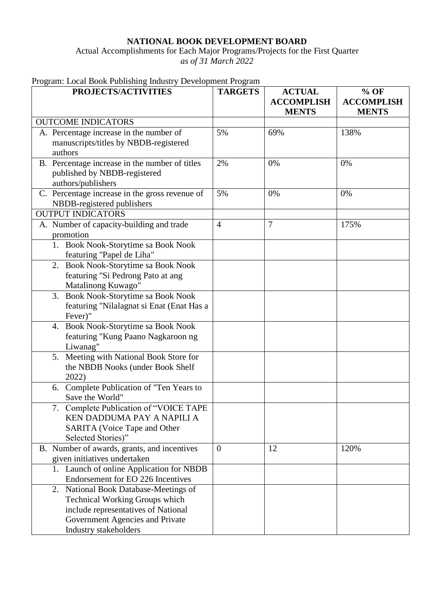## **NATIONAL BOOK DEVELOPMENT BOARD**

Actual Accomplishments for Each Major Programs/Projects for the First Quarter *as of 31 March 2022*

|  | Program: Local Book Publishing Industry Development Program |  |  |
|--|-------------------------------------------------------------|--|--|
|  |                                                             |  |  |

| PROJECTS/ACTIVITIES                                                  | <b>TARGETS</b> | <b>ACTUAL</b><br><b>ACCOMPLISH</b> | $%$ OF<br><b>ACCOMPLISH</b> |
|----------------------------------------------------------------------|----------------|------------------------------------|-----------------------------|
|                                                                      |                | <b>MENTS</b>                       | <b>MENTS</b>                |
| <b>OUTCOME INDICATORS</b>                                            |                |                                    |                             |
| A. Percentage increase in the number of                              | 5%             | 69%                                | 138%                        |
| manuscripts/titles by NBDB-registered                                |                |                                    |                             |
| authors                                                              |                |                                    |                             |
| B. Percentage increase in the number of titles                       | 2%             | 0%                                 | 0%                          |
| published by NBDB-registered                                         |                |                                    |                             |
| authors/publishers                                                   |                |                                    |                             |
| C. Percentage increase in the gross revenue of                       | 5%             | 0%                                 | 0%                          |
| NBDB-registered publishers<br><b>OUTPUT INDICATORS</b>               |                |                                    |                             |
|                                                                      | $\overline{4}$ | $\overline{7}$                     |                             |
| A. Number of capacity-building and trade<br>promotion                |                |                                    | 175%                        |
| 1. Book Nook-Storytime sa Book Nook                                  |                |                                    |                             |
| featuring "Papel de Liha"                                            |                |                                    |                             |
| 2. Book Nook-Storytime sa Book Nook                                  |                |                                    |                             |
| featuring "Si Pedrong Pato at ang                                    |                |                                    |                             |
| Matalinong Kuwago"                                                   |                |                                    |                             |
| 3. Book Nook-Storytime sa Book Nook                                  |                |                                    |                             |
| featuring "Nilalagnat si Enat (Enat Has a                            |                |                                    |                             |
| Fever)"                                                              |                |                                    |                             |
| 4. Book Nook-Storytime sa Book Nook                                  |                |                                    |                             |
| featuring "Kung Paano Nagkaroon ng                                   |                |                                    |                             |
| Liwanag"                                                             |                |                                    |                             |
| 5. Meeting with National Book Store for                              |                |                                    |                             |
| the NBDB Nooks (under Book Shelf                                     |                |                                    |                             |
| 2022)                                                                |                |                                    |                             |
| 6. Complete Publication of "Ten Years to                             |                |                                    |                             |
| Save the World"                                                      |                |                                    |                             |
| 7. Complete Publication of "VOICE TAPE<br>KEN DADDUMA PAY A NAPILI A |                |                                    |                             |
| <b>SARITA</b> (Voice Tape and Other                                  |                |                                    |                             |
| Selected Stories)"                                                   |                |                                    |                             |
| B. Number of awards, grants, and incentives                          | $\overline{0}$ | 12                                 | 120%                        |
| given initiatives undertaken                                         |                |                                    |                             |
| 1. Launch of online Application for NBDB                             |                |                                    |                             |
| Endorsement for EO 226 Incentives                                    |                |                                    |                             |
| 2. National Book Database-Meetings of                                |                |                                    |                             |
| <b>Technical Working Groups which</b>                                |                |                                    |                             |
| include representatives of National                                  |                |                                    |                             |
| Government Agencies and Private                                      |                |                                    |                             |
| Industry stakeholders                                                |                |                                    |                             |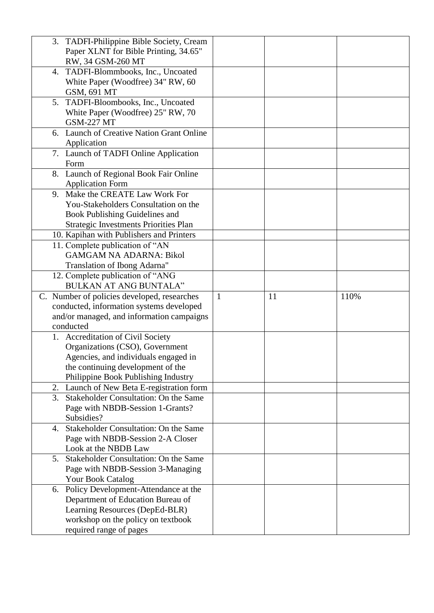| 3. TADFI-Philippine Bible Society, Cream                      |              |    |      |
|---------------------------------------------------------------|--------------|----|------|
| Paper XLNT for Bible Printing, 34.65"                         |              |    |      |
| RW, 34 GSM-260 MT                                             |              |    |      |
| 4. TADFI-Blommbooks, Inc., Uncoated                           |              |    |      |
| White Paper (Woodfree) 34" RW, 60                             |              |    |      |
| GSM, 691 MT                                                   |              |    |      |
| 5. TADFI-Bloombooks, Inc., Uncoated                           |              |    |      |
| White Paper (Woodfree) 25" RW, 70                             |              |    |      |
| <b>GSM-227 MT</b>                                             |              |    |      |
| 6. Launch of Creative Nation Grant Online                     |              |    |      |
| Application                                                   |              |    |      |
| 7. Launch of TADFI Online Application                         |              |    |      |
| Form                                                          |              |    |      |
| 8. Launch of Regional Book Fair Online                        |              |    |      |
| <b>Application Form</b>                                       |              |    |      |
| 9. Make the CREATE Law Work For                               |              |    |      |
| You-Stakeholders Consultation on the                          |              |    |      |
| Book Publishing Guidelines and                                |              |    |      |
| Strategic Investments Priorities Plan                         |              |    |      |
| 10. Kapihan with Publishers and Printers                      |              |    |      |
| 11. Complete publication of "AN                               |              |    |      |
| <b>GAMGAM NA ADARNA: Bikol</b>                                |              |    |      |
| Translation of Ibong Adarna"                                  |              |    |      |
| 12. Complete publication of "ANG                              |              |    |      |
|                                                               |              |    |      |
|                                                               |              |    |      |
| <b>BULKAN AT ANG BUNTALA"</b>                                 |              |    |      |
| C. Number of policies developed, researches                   | $\mathbf{1}$ | 11 | 110% |
| conducted, information systems developed                      |              |    |      |
| and/or managed, and information campaigns                     |              |    |      |
| conducted                                                     |              |    |      |
| 1. Accreditation of Civil Society                             |              |    |      |
| Organizations (CSO), Government                               |              |    |      |
| Agencies, and individuals engaged in                          |              |    |      |
| the continuing development of the                             |              |    |      |
| Philippine Book Publishing Industry                           |              |    |      |
| 2. Launch of New Beta E-registration form                     |              |    |      |
| 3. Stakeholder Consultation: On the Same                      |              |    |      |
| Page with NBDB-Session 1-Grants?                              |              |    |      |
| Subsidies?                                                    |              |    |      |
| Stakeholder Consultation: On the Same<br>4.                   |              |    |      |
| Page with NBDB-Session 2-A Closer                             |              |    |      |
| Look at the NBDB Law                                          |              |    |      |
| 5. Stakeholder Consultation: On the Same                      |              |    |      |
| Page with NBDB-Session 3-Managing                             |              |    |      |
| Your Book Catalog                                             |              |    |      |
| Policy Development-Attendance at the<br>6.                    |              |    |      |
| Department of Education Bureau of                             |              |    |      |
| Learning Resources (DepEd-BLR)                                |              |    |      |
| workshop on the policy on textbook<br>required range of pages |              |    |      |